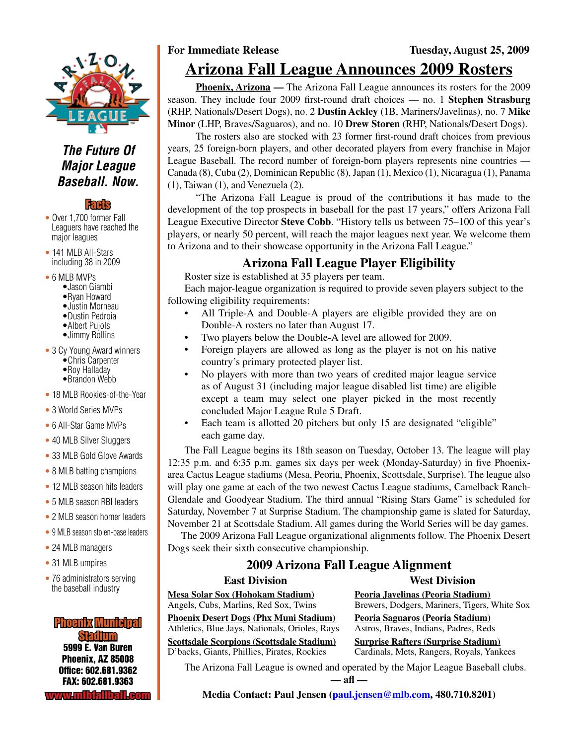

### *The Future Of Major League Baseball. Now.*

### **Facts**

- Over 1,700 former Fall Leaguers have reached the major leagues
- 141 MLB All-Stars including 38 in 2009
- 6 MLB MVPs
	- •Jason Giambi
	- •Ryan Howard
	- •Justin Morneau
	- •Dustin Pedroia •Albert Pujols
	- •Jimmy Rollins
	-
- 3 Cy Young Award winners
	- •Chris Carpenter
	- •Roy Halladay •Brandon Webb
- 18 MLB Rookies-of-the-Year
- 3 World Series MVPs
- 6 All-Star Game MVPs
- 40 MLB Silver Sluggers
- 33 MLB Gold Glove Awards
- 8 MLB batting champions
- 12 MLB season hits leaders
- 5 MLB season RBI leaders
- 2 MLB season homer leaders
- 9 MLB season stolen-base leaders
- 24 MLB managers
- 31 MLB umpires
- 76 administrators serving the baseball industry

5999 E. Van Buren Phoenix, AZ 85008 Office: 602.681.9362 FAX: 602.681.9363 www.mlbfallball.com Phoenix Municipal Stadium

### **For Immediate Release Tuesday, August 25, 2009 Arizona Fall League Announces 2009 Rosters**

**Phoenix, Arizona —** The Arizona Fall League announces its rosters for the 2009 season. They include four 2009 first-round draft choices — no. 1 **Stephen Strasburg** (RHP, Nationals/Desert Dogs), no. 2 **Dustin Ackley** (1B, Mariners/Javelinas), no. 7 **Mike Minor** (LHP, Braves/Saguaros), and no. 10 **Drew Storen** (RHP, Nationals/Desert Dogs).

The rosters also are stocked with 23 former first-round draft choices from previous years, 25 foreign-born players, and other decorated players from every franchise in Major League Baseball. The record number of foreign-born players represents nine countries — Canada (8), Cuba (2), Dominican Republic (8), Japan (1), Mexico (1), Nicaragua (1), Panama (1), Taiwan (1), and Venezuela (2).

"The Arizona Fall League is proud of the contributions it has made to the development of the top prospects in baseball for the past 17 years," offers Arizona Fall League Executive Director **Steve Cobb**. "History tells us between 75–100 of this year's players, or nearly 50 percent, will reach the major leagues next year. We welcome them to Arizona and to their showcase opportunity in the Arizona Fall League."

### **Arizona Fall League Player Eligibility**

Roster size is established at 35 players per team.

Each major-league organization is required to provide seven players subject to the following eligibility requirements:

- All Triple-A and Double-A players are eligible provided they are on Double-A rosters no later than August 17.
- Two players below the Double-A level are allowed for 2009.
- Foreign players are allowed as long as the player is not on his native country's primary protected player list.
- No players with more than two years of credited major league service as of August 31 (including major league disabled list time) are eligible except a team may select one player picked in the most recently concluded Major League Rule 5 Draft.
- Each team is allotted 20 pitchers but only 15 are designated "eligible" each game day.

The Fall League begins its 18th season on Tuesday, October 13. The league will play 12:35 p.m. and 6:35 p.m. games six days per week (Monday-Saturday) in five Phoenixarea Cactus League stadiums (Mesa, Peoria, Phoenix, Scottsdale, Surprise). The league also will play one game at each of the two newest Cactus League stadiums, Camelback Ranch-Glendale and Goodyear Stadium. The third annual "Rising Stars Game" is scheduled for Saturday, November 7 at Surprise Stadium. The championship game is slated for Saturday, November 21 at Scottsdale Stadium. All games during the World Series will be day games.

 The 2009 Arizona Fall League organizational alignments follow. The Phoenix Desert Dogs seek their sixth consecutive championship.

### **2009 Arizona Fall League Alignment**

#### **East Division Mesa Solar Sox (Hohokam Stadium)** Angels, Cubs, Marlins, Red Sox, Twins **West Division Peoria Javelinas (Peoria Stadium)**

**Phoenix Desert Dogs (Phx Muni Stadium)** Athletics, Blue Jays, Nationals, Orioles, Rays

**Scottsdale Scorpions (Scottsdale Stadium)** D'backs, Giants, Phillies, Pirates, Rockies

Brewers, Dodgers, Mariners, Tigers, White Sox **Peoria Saguaros (Peoria Stadium)** Astros, Braves, Indians, Padres, Reds

**Surprise Rafters (Surprise Stadium)** Cardinals, Mets, Rangers, Royals, Yankees

The Arizona Fall League is owned and operated by the Major League Baseball clubs.

**— afl —**

**Media Contact: Paul Jensen (paul.jensen@mlb.com, 480.710.8201)**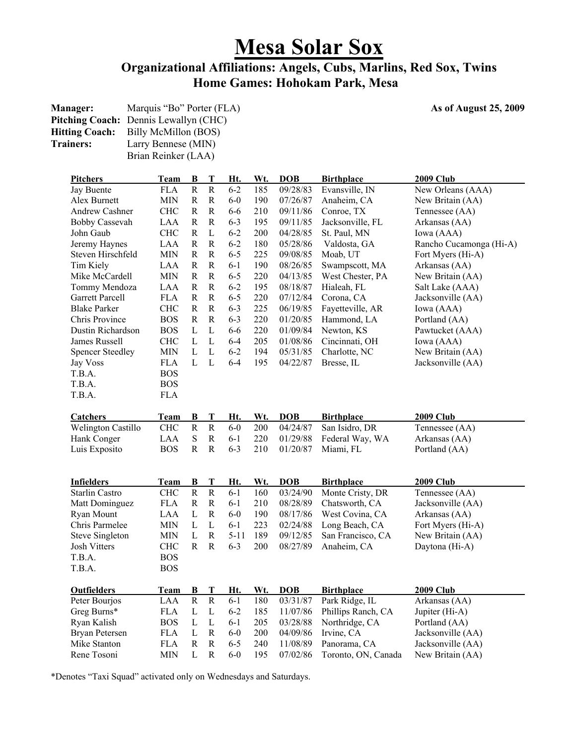# **Mesa Solar Sox**

### **Organizational Affiliations: Angels, Cubs, Marlins, Red Sox, Twins Home Games: Hohokam Park, Mesa**

| <b>Manager:</b>  | Marquis "Bo" Porter (FLA)                    |
|------------------|----------------------------------------------|
|                  | <b>Pitching Coach:</b> Dennis Lewallyn (CHC) |
|                  | <b>Hitting Coach:</b> Billy McMillon (BOS)   |
| <b>Trainers:</b> | Larry Bennese (MIN)                          |
|                  | Brian Reinker (LAA)                          |

**As of August 25, 2009** 

| <u>Pitchers</u>           | Team        | B                     | Т                     | Ht.      | Wt. | <b>DOB</b> | <b>Birthplace</b>   | 2009 Club               |
|---------------------------|-------------|-----------------------|-----------------------|----------|-----|------------|---------------------|-------------------------|
| Jay Buente                | <b>FLA</b>  | $\mathbf R$           | $\mathbf R$           | $6 - 2$  | 185 | 09/28/83   | Evansville, IN      | New Orleans (AAA)       |
| Alex Burnett              | MIN         | ${\bf R}$             | $\mathbf R$           | $6-0$    | 190 | 07/26/87   | Anaheim, CA         | New Britain (AA)        |
| <b>Andrew Cashner</b>     | <b>CHC</b>  | R                     | $\mathbf R$           | $6 - 6$  | 210 | 09/11/86   | Conroe, TX          | Tennessee (AA)          |
| <b>Bobby Cassevah</b>     | LAA         | $\mathbf R$           | R                     | $6 - 3$  | 195 | 09/11/85   | Jacksonville, FL    | Arkansas (AA)           |
| John Gaub                 | CHC         | R                     | L                     | $6 - 2$  | 200 | 04/28/85   | St. Paul, MN        | Iowa (AAA)              |
| Jeremy Haynes             | LAA         | R                     | ${\bf R}$             | $6 - 2$  | 180 | 05/28/86   | Valdosta, GA        | Rancho Cucamonga (Hi-A) |
| Steven Hirschfeld         | МIN         | R                     | R                     | $6 - 5$  | 225 | 09/08/85   | Moab, UT            | Fort Myers (Hi-A)       |
| Tim Kiely                 | LAA         | $\mathbf R$           | $\mathbf R$           | $6 - 1$  | 190 | 08/26/85   | Swampscott, MA      | Arkansas (AA)           |
| Mike McCardell            | <b>MIN</b>  | R                     | ${\bf R}$             | $6 - 5$  | 220 | 04/13/85   | West Chester, PA    | New Britain (AA)        |
| Tommy Mendoza             | LAA         | R                     | R                     | $6 - 2$  | 195 | 08/18/87   | Hialeah, FL         | Salt Lake (AAA)         |
| Garrett Parcell           | <b>FLA</b>  | $\mathbf R$           | $\mathbf R$           | $6 - 5$  | 220 | 07/12/84   | Corona, CA          | Jacksonville (AA)       |
| <b>Blake Parker</b>       | CHC         | R                     | R                     | $6 - 3$  | 225 | 06/19/85   | Fayetteville, AR    | Iowa (AAA)              |
| Chris Province            | <b>BOS</b>  | $\mathbf R$           | R                     | $6 - 3$  | 220 | 01/20/85   | Hammond, LA         | Portland (AA)           |
| Dustin Richardson         | <b>BOS</b>  | L                     | L                     | $6 - 6$  | 220 | 01/09/84   | Newton, KS          | Pawtucket (AAA)         |
| James Russell             | CHC         | L                     | L                     | $6 - 4$  | 205 | 01/08/86   | Cincinnati, OH      | Iowa (AAA)              |
| <b>Spencer Steedley</b>   | <b>MIN</b>  | L                     | L                     | $6 - 2$  | 194 | 05/31/85   | Charlotte, NC       | New Britain (AA)        |
| Jay Voss                  | <b>FLA</b>  | L                     | L                     | $6 - 4$  | 195 | 04/22/87   | Bresse, IL          | Jacksonville (AA)       |
| T.B.A.                    | <b>BOS</b>  |                       |                       |          |     |            |                     |                         |
| T.B.A.                    | <b>BOS</b>  |                       |                       |          |     |            |                     |                         |
| T.B.A.                    | <b>FLA</b>  |                       |                       |          |     |            |                     |                         |
| Catchers                  | Team        | B                     | T                     | Ht.      | Wt. | <b>DOB</b> | <b>Birthplace</b>   | 2009 Club               |
| <b>Welington Castillo</b> | <b>CHC</b>  | ${\bf R}$             | $\overline{R}$        | $6-0$    | 200 | 04/24/87   | San Isidro, DR      | Tennessee (AA)          |
| Hank Conger               | LAA         | ${\bf S}$             | R                     | $6-1$    | 220 | 01/29/88   | Federal Way, WA     | Arkansas (AA)           |
| Luis Exposito             | <b>BOS</b>  | $\mathbf R$           | $\mathbf R$           | $6 - 3$  | 210 | 01/20/87   | Miami, FL           | Portland (AA)           |
|                           |             |                       |                       |          |     |            |                     |                         |
| <b>Infielders</b>         | <b>Team</b> | <u>B</u>              | T                     | Ht.      | Wt. | <b>DOB</b> | <b>Birthplace</b>   | <u>2009 Club</u>        |
| <b>Starlin Castro</b>     | <b>CHC</b>  | $\mathbf R$           | $\mathbf R$           | $6 - 1$  | 160 | 03/24/90   | Monte Cristy, DR    | Tennessee (AA)          |
| Matt Dominguez            | <b>FLA</b>  | $\mathbf R$           | $\mathbf R$           | $6 - 1$  | 210 | 08/28/89   | Chatsworth, CA      | Jacksonville (AA)       |
| Ryan Mount                | LAA         | L                     | R                     | $6-0$    | 190 | 08/17/86   | West Covina, CA     | Arkansas (AA)           |
| Chris Parmelee            | МIN         | L                     | L                     | $6 - 1$  | 223 | 02/24/88   | Long Beach, CA      | Fort Myers (Hi-A)       |
| <b>Steve Singleton</b>    | <b>MIN</b>  | L                     | $\mathbf R$           | $5 - 11$ | 189 | 09/12/85   | San Francisco, CA   | New Britain (AA)        |
| <b>Josh Vitters</b>       | CHC         | R                     | $\mathbf R$           | $6 - 3$  | 200 | 08/27/89   | Anaheim, CA         | Daytona (Hi-A)          |
| T.B.A.                    | <b>BOS</b>  |                       |                       |          |     |            |                     |                         |
| T.B.A.                    | <b>BOS</b>  |                       |                       |          |     |            |                     |                         |
| <b>Outfielders</b>        | <u>Team</u> | <u>B</u>              | т                     | Ht.      | Wt. | <b>DOB</b> | <b>Birthplace</b>   | <b>2009 Club</b>        |
| Peter Bourjos             | LAA         | $\overline{\text{R}}$ | $\overline{\text{R}}$ | $6 - 1$  | 180 | 03/31/87   | Park Ridge, IL      | Arkansas (AA)           |
| Greg Burns*               | <b>FLA</b>  | $\mathbf L$           | $\mathbf L$           | $6 - 2$  | 185 | 11/07/86   | Phillips Ranch, CA  | Jupiter (Hi-A)          |
| Ryan Kalish               | <b>BOS</b>  | $\mathbf{L}$          | $\mathbf{L}$          | $6-1$    | 205 | 03/28/88   | Northridge, CA      | Portland (AA)           |
| <b>Bryan Petersen</b>     | <b>FLA</b>  | $\mathbf L$           | $\mathbf R$           | $6-0$    | 200 | 04/09/86   | Irvine, CA          | Jacksonville (AA)       |
| Mike Stanton              | <b>FLA</b>  | R                     | R                     | $6 - 5$  | 240 | 11/08/89   | Panorama, CA        | Jacksonville (AA)       |
| Rene Tosoni               | МIN         | L                     | R                     | $6 - 0$  | 195 | 07/02/86   | Toronto, ON, Canada | New Britain (AA)        |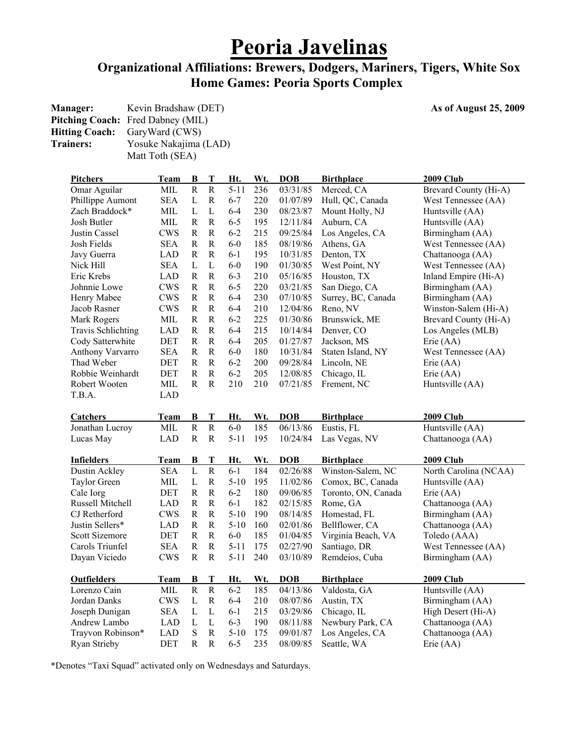# **Peoria Javelinas**

### **Organizational Affiliations: Brewers, Dodgers, Mariners, Tigers, White Sox Home Games: Peoria Sports Complex**

As of August 25, 2009

|                  | <b>Manager:</b> Kevin Bradshaw (DET)     |
|------------------|------------------------------------------|
|                  | <b>Pitching Coach:</b> Fred Dabney (MIL) |
|                  | <b>Hitting Coach:</b> GaryWard (CWS)     |
| <b>Trainers:</b> | Yosuke Nakajima (LAD)                    |
|                  | Matt Toth (SEA)                          |

|                                    | <b>Team</b>              | $\bf{B}$                   | T              | Ht.                 | Wt.        | <b>DOB</b>           | <b>Birthplace</b>                   | <b>2009 Club</b>                     |
|------------------------------------|--------------------------|----------------------------|----------------|---------------------|------------|----------------------|-------------------------------------|--------------------------------------|
| Omar Aguilar                       | MIL                      | $\mathbf R$                | ${\bf R}$      | $5 - 11$            | 236        | 03/31/85             | Merced, CA                          | Brevard County (Hi-A)                |
| Phillippe Aumont                   | <b>SEA</b>               | $\mathbf L$                | ${\bf R}$      | $6 - 7$             | 220        | 01/07/89             | Hull, QC, Canada                    | West Tennessee (AA)                  |
| Zach Braddock*                     | MIL                      | $\mathbf L$                | $\mathbf{L}$   | $6 - 4$             | 230        | 08/23/87             | Mount Holly, NJ                     | Huntsville (AA)                      |
| Josh Butler                        | MIL                      | $\mathbf R$                | ${\bf R}$      | $6 - 5$             | 195        | 12/11/84             | Auburn, CA                          | Huntsville (AA)                      |
| Justin Cassel                      | <b>CWS</b>               | $\mathbb R$                | $\mathbb{R}$   | $6 - 2$             | 215        | 09/25/84             | Los Angeles, CA                     | Birmingham (AA)                      |
| Josh Fields                        | <b>SEA</b>               | $\mathbf R$                | $\mathbf R$    | $6-0$               | 185        | 08/19/86             | Athens, GA                          | West Tennessee (AA)                  |
| Javy Guerra                        | <b>LAD</b>               | $\mathbf R$                | $\mathbf R$    | $6 - 1$             | 195        | 10/31/85             | Denton, TX                          | Chattanooga (AA)                     |
| Nick Hill                          | <b>SEA</b>               | L                          | L              | $6-0$               | 190        | 01/30/85             | West Point, NY                      | West Tennessee (AA)                  |
| Eric Krebs                         | <b>LAD</b>               | $\mathbb R$                | $\mathbf R$    | $6 - 3$             | 210        | 05/16/85             | Houston, TX                         | Inland Empire (Hi-A)                 |
| Johnnie Lowe                       | <b>CWS</b>               | $\mathbf R$                | ${\bf R}$      | $6 - 5$             | 220        | 03/21/85             | San Diego, CA                       | Birmingham (AA)                      |
| Henry Mabee                        | <b>CWS</b>               | $\mathbf R$                | $\mathbb{R}$   | $6 - 4$             | 230        | 07/10/85             | Surrey, BC, Canada                  | Birmingham (AA)                      |
| Jacob Rasner                       | <b>CWS</b>               | $\mathbf R$                | ${\bf R}$      | $6 - 4$             | 210        | 12/04/86             | Reno, NV                            | Winston-Salem (Hi-A)                 |
| Mark Rogers                        | $\text{MIL}$             | $\mathbf R$                | ${\bf R}$      | $6 - 2$             | 225        | 01/30/86             | Brunswick, ME                       | Brevard County (Hi-A)                |
| <b>Travis Schlichting</b>          | <b>LAD</b>               | $\mathbf R$                | $\mathbb{R}$   | $6 - 4$             | 215        | 10/14/84             | Denver, CO                          | Los Angeles (MLB)                    |
| Cody Satterwhite                   | <b>DET</b>               | R                          | $\mathbb{R}$   | $6 - 4$             | 205        | 01/27/87             | Jackson, MS                         | Erie (AA)                            |
| Anthony Varvarro                   | <b>SEA</b>               | $\mathbf R$                | ${\bf R}$      | $6-0$               | 180        | 10/31/84             | Staten Island, NY                   | West Tennessee (AA)                  |
| Thad Weber                         | <b>DET</b>               | $\mathbf R$                | ${\bf R}$      | $6 - 2$             | 200        | 09/28/84             | Lincoln, NE                         | Erie $(AA)$                          |
| Robbie Weinhardt                   | <b>DET</b>               | R                          | $\mathbf R$    | $6 - 2$             | 205        | 12/08/85             | Chicago, IL                         | Erie (AA)                            |
| Robert Wooten                      | MIL                      | R                          | ${\bf R}$      | 210                 | 210        | 07/21/85             | Frement, NC                         | Huntsville (AA)                      |
| T.B.A.                             | <b>LAD</b>               |                            |                |                     |            |                      |                                     |                                      |
|                                    |                          |                            |                |                     |            |                      |                                     |                                      |
| <b>Catchers</b>                    | <b>Team</b>              | В                          | T              | Ht.                 | Wt.        | <b>DOB</b>           | <b>Birthplace</b>                   | <b>2009 Club</b>                     |
|                                    |                          |                            |                |                     |            |                      |                                     |                                      |
| Jonathan Lucroy                    | MIL                      | $\overline{R}$             | ${\bf R}$      | $6-0$               | 185        | 06/13/86             | Eustis, FL                          | Huntsville (AA)                      |
| Lucas May                          | <b>LAD</b>               | $\mathbf R$                | ${\bf R}$      | $5 - 11$            | 195        | 10/24/84             | Las Vegas, NV                       | Chattanooga (AA)                     |
|                                    |                          |                            |                |                     |            |                      |                                     |                                      |
| <b>Infielders</b>                  | Team                     | B                          | T              | Ht.                 | Wt.        | <b>DOB</b>           | <b>Birthplace</b>                   | <b>2009 Club</b>                     |
| Dustin Ackley                      | <b>SEA</b>               | $\overline{L}$             | $\overline{R}$ | $6 - 1$             | 184        | 02/26/88             | Winston-Salem, NC                   | North Carolina (NCAA)                |
| <b>Taylor Green</b>                | MIL                      | $\mathbf L$                | ${\bf R}$      | $5 - 10$            | 195        | 11/02/86             | Comox, BC, Canada                   | Huntsville (AA)                      |
| Cale Iorg                          | <b>DET</b>               | $\mathbb R$                | ${\bf R}$      | $6 - 2$             | 180        | 09/06/85             | Toronto, ON, Canada                 | Erie (AA)                            |
| Russell Mitchell                   | <b>LAD</b>               | $\mathbf R$                | ${\bf R}$      | $6 - 1$             | 182        | 02/15/85             | Rome, GA                            | Chattanooga (AA)                     |
| CJ Retherford                      | <b>CWS</b>               | R                          | $\mathbb{R}$   | $5 - 10$            | 190        | 08/14/85             | Homestad, FL                        | Birmingham (AA)                      |
| Justin Sellers*                    | <b>LAD</b>               | R                          | $\mathbb{R}$   | $5-10$              | 160        | 02/01/86             | Bellflower, CA                      | Chattanooga (AA)                     |
| <b>Scott Sizemore</b>              | <b>DET</b>               | $\mathbf R$                | ${\bf R}$      | $6-0$               | 185        | 01/04/85             | Virginia Beach, VA                  | Toledo (AAA)                         |
| Carols Triunfel                    | <b>SEA</b>               | $\mathbf R$                | ${\bf R}$      | $5 - 11$            | 175        | 02/27/90             | Santiago, DR                        | West Tennessee (AA)                  |
| Dayan Viciedo                      | <b>CWS</b>               | $\mathbf R$                | ${\bf R}$      | $5 - 11$            | 240        | 03/10/89             | Remdeios, Cuba                      | Birmingham (AA)                      |
|                                    |                          |                            |                |                     |            |                      |                                     |                                      |
| <b>Outfielders</b><br>Lorenzo Cain | Team                     | B<br>$\mathbf R$           | T              | Ht.                 | Wt.        | <b>DOB</b>           | <b>Birthplace</b>                   | <b>2009 Club</b>                     |
|                                    | <b>MIL</b>               |                            | ${\bf R}$      | $6 - 2$             | 185        | 04/13/86             | Valdosta, GA                        | Huntsville (AA)                      |
| Jordan Danks                       | <b>CWS</b>               | $\mathbf L$                | ${\bf R}$      | $6 - 4$             | 210        | 08/07/86             | Austin, TX                          | Birmingham (AA)                      |
| Joseph Dunigan                     | <b>SEA</b>               | L                          | L              | $6-1$               | 215        | 03/29/86             | Chicago, IL                         | High Desert (Hi-A)                   |
| Andrew Lambo<br>Trayvon Robinson*  | <b>LAD</b><br><b>LAD</b> | $\mathbf L$<br>$\mathbf S$ | L<br>${\bf R}$ | $6 - 3$<br>$5 - 10$ | 190<br>175 | 08/11/88<br>09/01/87 | Newbury Park, CA<br>Los Angeles, CA | Chattanooga (AA)<br>Chattanooga (AA) |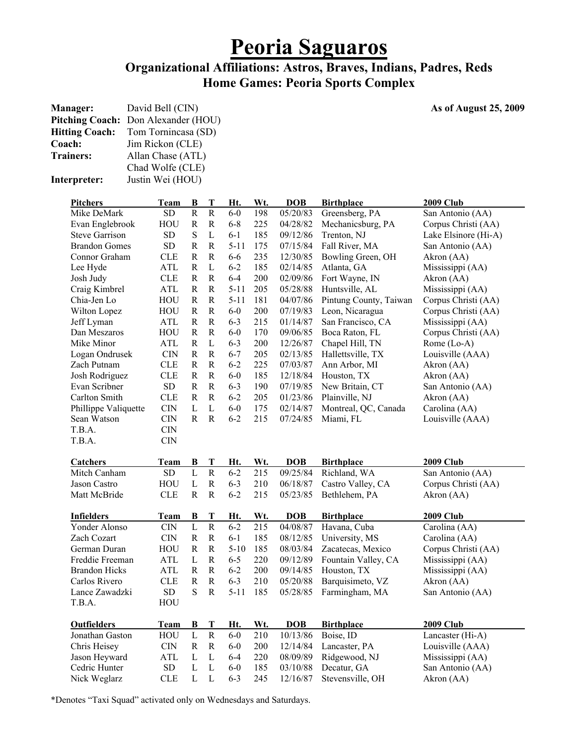# **Peoria Saguaros**

### **Organizational Affiliations: Astros, Braves, Indians, Padres, Reds Home Games: Peoria Sports Complex**

| Manager:<br><b>Pitching Coach:</b><br><b>Hitting Coach:</b><br>Coach:<br><b>Trainers:</b> | Don Alexander (HOU) | David Bell (CIN)<br>Tom Tornincasa (SD)<br>Jim Rickon (CLE)<br>Allan Chase (ATL)<br>Chad Wolfe (CLE) |              |              |          |     |            | As of August 25, 2009  |                      |  |
|-------------------------------------------------------------------------------------------|---------------------|------------------------------------------------------------------------------------------------------|--------------|--------------|----------|-----|------------|------------------------|----------------------|--|
| Interpreter:                                                                              |                     | Justin Wei (HOU)                                                                                     |              |              |          |     |            |                        |                      |  |
| <b>Pitchers</b>                                                                           |                     | <b>Team</b>                                                                                          | B            | T            | Ht.      | Wt. | <b>DOB</b> | <b>Birthplace</b>      | <b>2009 Club</b>     |  |
| Mike DeMark                                                                               |                     | SD                                                                                                   | ${\bf R}$    | $\mathbf R$  | $6-0$    | 198 | 05/20/83   | Greensberg, PA         | San Antonio (AA)     |  |
| Evan Englebrook                                                                           |                     | HOU                                                                                                  | $\mathbb{R}$ | ${\bf R}$    | $6 - 8$  | 225 | 04/28/82   | Mechanicsburg, PA      | Corpus Christi (AA)  |  |
| <b>Steve Garrison</b>                                                                     |                     | SD                                                                                                   | ${\bf S}$    | $\mathbf L$  | $6 - 1$  | 185 | 09/12/86   | Trenton, NJ            | Lake Elsinore (Hi-A) |  |
| <b>Brandon Gomes</b>                                                                      |                     | SD                                                                                                   | $\mathbb{R}$ | $\mathbb R$  | $5 - 11$ | 175 | 07/15/84   | Fall River, MA         | San Antonio (AA)     |  |
| Connor Graham                                                                             |                     | <b>CLE</b>                                                                                           | $\mathbb{R}$ | $\mathbb R$  | $6 - 6$  | 235 | 12/30/85   | Bowling Green, OH      | Akron (AA)           |  |
| Lee Hyde                                                                                  |                     | <b>ATL</b>                                                                                           | $\mathbb{R}$ | L            | $6 - 2$  | 185 | 02/14/85   | Atlanta, GA            | Mississippi (AA)     |  |
| Josh Judy                                                                                 |                     | <b>CLE</b>                                                                                           | ${\bf R}$    | $\mathbf R$  | $6 - 4$  | 200 | 02/09/86   | Fort Wayne, IN         | Akron (AA)           |  |
| Craig Kimbrel                                                                             |                     | <b>ATL</b>                                                                                           | ${\bf R}$    | $\mathbf R$  | $5 - 11$ | 205 | 05/28/88   | Huntsville, AL         | Mississippi (AA)     |  |
| Chia-Jen Lo                                                                               |                     | HOU                                                                                                  | $\mathbb{R}$ | $\mathbf R$  | $5 - 11$ | 181 | 04/07/86   | Pintung County, Taiwan | Corpus Christi (AA)  |  |
| Wilton Lopez                                                                              |                     | HOU                                                                                                  | $\mathbb{R}$ | ${\bf R}$    | $6-0$    | 200 | 07/19/83   | Leon, Nicaragua        | Corpus Christi (AA)  |  |
| Jeff Lyman                                                                                |                     | <b>ATL</b>                                                                                           | $\mathbb{R}$ | $\mathbf R$  | $6 - 3$  | 215 | 01/14/87   | San Francisco, CA      | Mississippi (AA)     |  |
| Dan Meszaros                                                                              |                     | HOU                                                                                                  | R            | $\mathbf R$  | $6-0$    | 170 | 09/06/85   | Boca Raton, FL         | Corpus Christi (AA)  |  |
| Mike Minor                                                                                |                     | <b>ATL</b>                                                                                           | $\mathbf R$  | L            | $6 - 3$  | 200 | 12/26/87   | Chapel Hill, TN        | Rome (Lo-A)          |  |
| Logan Ondrusek                                                                            |                     | <b>CIN</b>                                                                                           | $\mathbb{R}$ | $\mathbb R$  | $6 - 7$  | 205 | 02/13/85   | Hallettsville, TX      | Louisville (AAA)     |  |
| Zach Putnam                                                                               |                     | <b>CLE</b>                                                                                           | ${\bf R}$    | $\mathbb R$  | $6 - 2$  | 225 | 07/03/87   | Ann Arbor, MI          | Akron (AA)           |  |
| Josh Rodriguez                                                                            |                     | <b>CLE</b>                                                                                           | ${\bf R}$    | $\mathbb R$  | $6-0$    | 185 | 12/18/84   | Houston, TX            | Akron (AA)           |  |
| Evan Scribner                                                                             |                     | SD                                                                                                   | $\mathbb{R}$ | $\mathbf R$  | $6 - 3$  | 190 | 07/19/85   | New Britain, CT        | San Antonio (AA)     |  |
| Carlton Smith                                                                             |                     | <b>CLE</b>                                                                                           | $\mathbb{R}$ | $\mathbb R$  | $6 - 2$  | 205 | 01/23/86   | Plainville, NJ         | Akron (AA)           |  |
| Phillippe Valiquette                                                                      |                     | $\text{CIN}$                                                                                         | L            | $\mathbf L$  | $6-0$    | 175 | 02/14/87   | Montreal, QC, Canada   | Carolina (AA)        |  |
| Sean Watson                                                                               |                     | <b>CIN</b>                                                                                           | $\mathbf R$  | $\mathbf R$  | $6 - 2$  | 215 | 07/24/85   | Miami, FL              | Louisville (AAA)     |  |
| T.B.A.                                                                                    |                     | <b>CIN</b>                                                                                           |              |              |          |     |            |                        |                      |  |
| T.B.A.                                                                                    |                     | <b>CIN</b>                                                                                           |              |              |          |     |            |                        |                      |  |
| <b>Catchers</b>                                                                           |                     | Team                                                                                                 | $\bf{B}$     | T            | Ht.      | Wt. | <b>DOB</b> | <b>Birthplace</b>      | <b>2009 Club</b>     |  |
| Mitch Canham                                                                              |                     | SD                                                                                                   | $\mathbf L$  | $\mathbf R$  | $6 - 2$  | 215 | 09/25/84   | Richland, WA           | San Antonio (AA)     |  |
| Jason Castro                                                                              |                     | HOU                                                                                                  | L            | $\mathbf R$  | $6 - 3$  | 210 | 06/18/87   | Castro Valley, CA      | Corpus Christi (AA)  |  |
| Matt McBride                                                                              |                     | <b>CLE</b>                                                                                           | $\mathbb{R}$ | $\mathbb R$  | $6 - 2$  | 215 | 05/23/85   | Bethlehem, PA          | Akron (AA)           |  |
| <b>Infielders</b>                                                                         |                     | <b>Team</b>                                                                                          | B            | T            | Ht.      | Wt. | <b>DOB</b> | <b>Birthplace</b>      | <b>2009 Club</b>     |  |
| Yonder Alonso                                                                             |                     | <b>CIN</b>                                                                                           | $\mathbf L$  | $\mathbf R$  | $6 - 2$  | 215 | 04/08/87   | Havana, Cuba           | Carolina (AA)        |  |
| Zach Cozart                                                                               |                     | CIN                                                                                                  | $\mathbf R$  | ${\bf R}$    | $6 - 1$  | 185 | 08/12/85   | University, MS         | Carolina (AA)        |  |
| German Duran                                                                              |                     | HOU                                                                                                  | $\mathbb{R}$ | ${\bf R}$    | $5 - 10$ | 185 | 08/03/84   | Zacatecas, Mexico      | Corpus Christi (AA)  |  |
| Freddie Freeman                                                                           |                     | ATL                                                                                                  | $\mathbf{L}$ | ${\bf R}$    | $6 - 5$  | 220 | 09/12/89   | Fountain Valley, CA    | Mississippi (AA)     |  |
| <b>Brandon Hicks</b>                                                                      |                     | ATL                                                                                                  | $\mathbf R$  | $\mathbf R$  | $6 - 2$  | 200 | 09/14/85   | Houston, TX            | Mississippi (AA)     |  |
| Carlos Rivero                                                                             |                     | <b>CLE</b>                                                                                           | $\mathbf R$  | $\mathbf R$  | $6 - 3$  | 210 | 05/20/88   | Barquisimeto, VZ       | Akron (AA)           |  |
| Lance Zawadzki                                                                            |                     | SD                                                                                                   | S            | $\mathbf R$  | $5 - 11$ | 185 | 05/28/85   | Farmingham, MA         | San Antonio (AA)     |  |
| T.B.A.                                                                                    |                     | HOU                                                                                                  |              |              |          |     |            |                        |                      |  |
| <b>Outfielders</b>                                                                        |                     | <b>Team</b>                                                                                          | $\bf{B}$     | $\mathbf T$  | Ht.      | Wt. | <b>DOB</b> | <b>Birthplace</b>      | <b>2009 Club</b>     |  |
| Jonathan Gaston                                                                           |                     | HOU                                                                                                  | $\mathbf L$  | $\rm R$      | $6-0$    | 210 | 10/13/86   | Boise, ID              | Lancaster (Hi-A)     |  |
| Chris Heisey                                                                              |                     | $\rm CIN$                                                                                            | $\mathbb{R}$ | ${\bf R}$    | $6-0$    | 200 | 12/14/84   | Lancaster, PA          | Louisville (AAA)     |  |
| Jason Heyward                                                                             |                     | ATL                                                                                                  | L            | L            | $6 - 4$  | 220 | 08/09/89   | Ridgewood, NJ          | Mississippi (AA)     |  |
| Cedric Hunter                                                                             |                     | SD                                                                                                   | $\mathbf L$  | $\mathbf L$  | $6-0$    | 185 | 03/10/88   | Decatur, GA            | San Antonio (AA)     |  |
| Nick Weglarz                                                                              |                     | <b>CLE</b>                                                                                           | L            | $\mathbf{L}$ | $6 - 3$  | 245 | 12/16/87   | Stevensville, OH       | Akron (AA)           |  |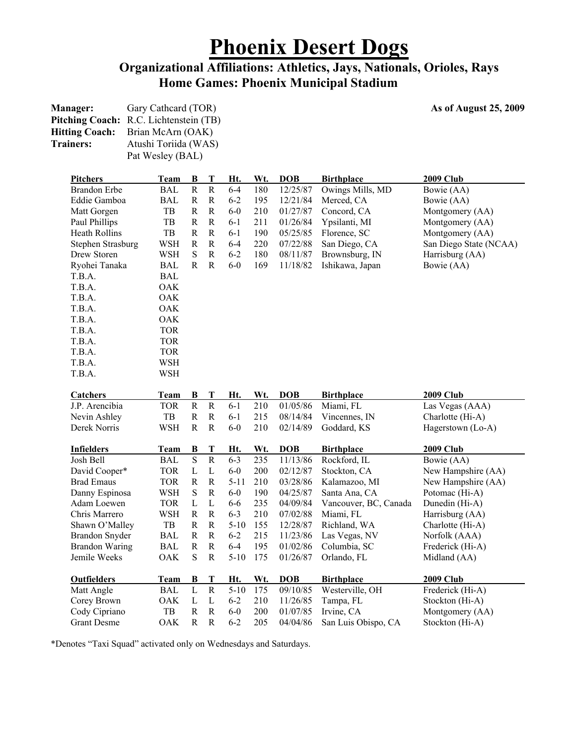# **Phoenix Desert Dogs**

### **Organizational Affiliations: Athletics, Jays, Nationals, Orioles, Rays Home Games: Phoenix Municipal Stadium**

**Manager:** Gary Cathcard (TOR) **As of August 25, 2009** 

| Pitching Coach: R.C. Lichtenstein (TB) |                      |              |              |            |            |            |                       |                        |
|----------------------------------------|----------------------|--------------|--------------|------------|------------|------------|-----------------------|------------------------|
| <b>Hitting Coach:</b>                  | Brian McArn (OAK)    |              |              |            |            |            |                       |                        |
| <b>Trainers:</b>                       | Atushi Toriida (WAS) |              |              |            |            |            |                       |                        |
|                                        | Pat Wesley (BAL)     |              |              |            |            |            |                       |                        |
| <b>Pitchers</b>                        | Team                 | <u>B</u>     | $\bf T$      | Ht.        | Wt.        | <b>DOB</b> | <b>Birthplace</b>     | <b>2009 Club</b>       |
| <b>Brandon</b> Erbe                    | <b>BAL</b>           | $\rm R$      | ${\bf R}$    | $6 - 4$    | 180        | 12/25/87   | Owings Mills, MD      | Bowie (AA)             |
| Eddie Gamboa                           | BAL                  | $\mathbb{R}$ | $\mathbf R$  | $6 - 2$    | 195        | 12/21/84   | Merced, CA            | Bowie (AA)             |
| Matt Gorgen                            | TB                   | $\mathbb{R}$ | $\mathbf R$  | $6-0$      | 210        | 01/27/87   | Concord, CA           | Montgomery (AA)        |
| Paul Phillips                          | TB                   | ${\bf R}$    | $\mathbb{R}$ | $6 - 1$    | 211        | 01/26/84   | Ypsilanti, MI         | Montgomery (AA)        |
| Heath Rollins                          | TB                   | ${\bf R}$    | $\mathbb{R}$ | $6-1$      | 190        | 05/25/85   | Florence, SC          | Montgomery (AA)        |
| Stephen Strasburg                      | <b>WSH</b>           | $\mathbf R$  | $\mathbb{R}$ | $6 - 4$    | 220        | 07/22/88   | San Diego, CA         | San Diego State (NCAA) |
| Drew Storen                            | <b>WSH</b>           | ${\bf S}$    | $\mathbb{R}$ | $6 - 2$    | 180        | 08/11/87   | Brownsburg, IN        | Harrisburg (AA)        |
| Ryohei Tanaka                          | <b>BAL</b>           | R            | $\mathbb{R}$ | $6-0$      | 169        | 11/18/82   | Ishikawa, Japan       | Bowie (AA)             |
| T.B.A.                                 | <b>BAL</b>           |              |              |            |            |            |                       |                        |
| T.B.A.                                 | <b>OAK</b>           |              |              |            |            |            |                       |                        |
| T.B.A.                                 | <b>OAK</b>           |              |              |            |            |            |                       |                        |
| T.B.A.                                 | <b>OAK</b>           |              |              |            |            |            |                       |                        |
| T.B.A.                                 | OAK                  |              |              |            |            |            |                       |                        |
| T.B.A.                                 | <b>TOR</b>           |              |              |            |            |            |                       |                        |
| T.B.A.                                 | <b>TOR</b>           |              |              |            |            |            |                       |                        |
| T.B.A.                                 | <b>TOR</b>           |              |              |            |            |            |                       |                        |
| T.B.A.                                 | <b>WSH</b>           |              |              |            |            |            |                       |                        |
| T.B.A.                                 | <b>WSH</b>           |              |              |            |            |            |                       |                        |
| <b>Catchers</b>                        | <b>Team</b>          | <u>B</u>     | $\mathbf T$  | Ht.        | Wt.        | <b>DOB</b> | <b>Birthplace</b>     | <b>2009 Club</b>       |
| J.P. Arencibia                         | <b>TOR</b>           | ${\bf R}$    | $\mathbf R$  | $6 - 1$    | 210        | 01/05/86   | Miami, FL             | Las Vegas (AAA)        |
| Nevin Ashley                           | TB                   | R            | $\mathbb{R}$ | $6 - 1$    | 215        | 08/14/84   | Vincennes, IN         | Charlotte (Hi-A)       |
| Derek Norris                           | <b>WSH</b>           | $\mathbf R$  | $\mathbb{R}$ | $6-0$      | 210        | 02/14/89   | Goddard, KS           | Hagerstown (Lo-A)      |
| <b>Infielders</b>                      | <b>Team</b>          | $\bf{B}$     | T            | Ht.        | Wt.        | <b>DOB</b> | <b>Birthplace</b>     | <b>2009 Club</b>       |
| Josh Bell                              | <b>BAL</b>           | $\mathbf S$  | ${\bf R}$    | $6 - 3$    | 235        | 11/13/86   | Rockford, IL          | Bowie (AA)             |
| David Cooper*                          | <b>TOR</b>           | L            | L            | $6-0$      | 200        | 02/12/87   | Stockton, CA          | New Hampshire (AA)     |
| <b>Brad Emaus</b>                      | <b>TOR</b>           | $\mathbb{R}$ | $\mathbf R$  | $5 - 11$   | 210        | 03/28/86   | Kalamazoo, MI         | New Hampshire (AA)     |
| Danny Espinosa                         | <b>WSH</b>           | ${\bf S}$    | $\mathbb{R}$ | $6-0$      | 190        | 04/25/87   | Santa Ana, CA         | Potomac (Hi-A)         |
| Adam Loewen                            | <b>TOR</b>           | L            | L            | $6-6$      | 235        | 04/09/84   | Vancouver, BC, Canada | Dunedin (Hi-A)         |
| Chris Marrero                          | <b>WSH</b>           | $\mathbf R$  | $\mathbf R$  | $6 - 3$    | 210        | 07/02/88   | Miami, FL             | Harrisburg (AA)        |
| Shawn O'Malley                         | TB                   | $\mathbf R$  | $\mathbf R$  | $5 - 10$   | 155        | 12/28/87   | Richland, WA          | Charlotte (Hi-A)       |
| Brandon Snyder                         | BAL                  | R            | R            | $6 - 2$    | 215        | 11/23/86   | Las Vegas, NV         | Norfolk (AAA)          |
| <b>Brandon Waring</b>                  | BAL                  | $\mathbf R$  | $\mathbf R$  | $6 - 4$    | 195        | 01/02/86   | Columbia, SC          | Frederick (Hi-A)       |
| Jemile Weeks                           | OAK                  | S            | $\mathbb{R}$ | $5 - 10$   | 175        | 01/26/87   | Orlando, FL           | Midland (AA)           |
| <b>Outfielders</b>                     | <b>Team</b>          | $\bf{B}$     | $\bf T$      | <u>Ht.</u> | <b>Wt.</b> | <b>DOB</b> | <b>Birthplace</b>     | <b>2009 Club</b>       |
| Matt Angle                             | <b>BAL</b>           | $\mathbf L$  | $\mathbf R$  | $5 - 10$   | 175        | 09/10/85   | Westerville, OH       | Frederick (Hi-A)       |
| Corey Brown                            | OAK                  | L            | L            | $6 - 2$    | 210        | 11/26/85   | Tampa, FL             | Stockton (Hi-A)        |
| Cody Cipriano                          | TB                   | ${\bf R}$    | $\mathbf R$  | $6-0$      | 200        | 01/07/85   | Irvine, CA            | Montgomery (AA)        |
| <b>Grant Desme</b>                     | <b>OAK</b>           | $\mathbf R$  | R            | $6 - 2$    | 205        | 04/04/86   | San Luis Obispo, CA   | Stockton (Hi-A)        |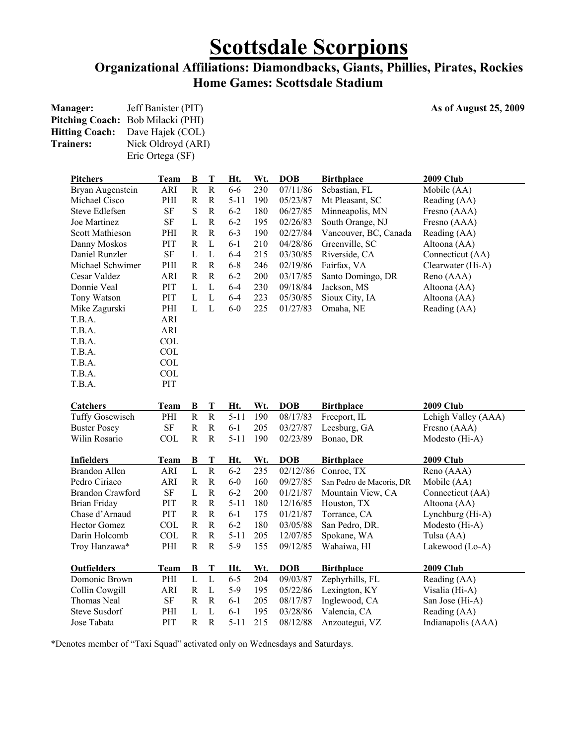# **Scottsdale Scorpions**

### **Organizational Affiliations: Diamondbacks, Giants, Phillies, Pirates, Rockies Home Games: Scottsdale Stadium**

| <b>Manager:</b>  | Jeff Banister (PIT)                    |
|------------------|----------------------------------------|
|                  | Pitching Coach: Bob Milacki (PHI)      |
|                  | <b>Hitting Coach:</b> Dave Hajek (COL) |
| <b>Trainers:</b> | Nick Oldroyd (ARI)                     |
|                  | Eric Ortega (SF)                       |

### As of August 25, 2009

| <b>Pitchers</b>                     | Team        | $\bf{B}$       | T                     | Ht.                 | Wt.        | <b>DOB</b>           | <b>Birthplace</b>              | <b>2009 Club</b>                   |
|-------------------------------------|-------------|----------------|-----------------------|---------------------|------------|----------------------|--------------------------------|------------------------------------|
| Bryan Augenstein                    | ARI         | $\mathbf R$    | $\mathbf R$           | $6-6$               | 230        | 07/11/86             | Sebastian, FL                  | Mobile (AA)                        |
| Michael Cisco                       | PHI         | $\mathbf R$    | $\mathbf R$           | $5 - 11$            | 190        | 05/23/87             | Mt Pleasant, SC                | Reading (AA)                       |
| Steve Edlefsen                      | $\rm SF$    | ${\bf S}$      | R                     | $6 - 2$             | 180        | 06/27/85             | Minneapolis, MN                | Fresno (AAA)                       |
| Joe Martinez                        | $\rm SF$    | L              | $\mathbf R$           | $6 - 2$             | 195        | 02/26/83             | South Orange, NJ               | Fresno (AAA)                       |
| Scott Mathieson                     | PHI         | $\mathbf R$    | ${\bf R}$             | $6 - 3$             | 190        | 02/27/84             | Vancouver, BC, Canada          | Reading (AA)                       |
| Danny Moskos                        | PIT         | $\mathbf R$    | L                     | $6 - 1$             | 210        | 04/28/86             | Greenville, SC                 | Altoona (AA)                       |
| Daniel Runzler                      | <b>SF</b>   | L              | $\mathbf L$           | $6 - 4$             | 215        | 03/30/85             | Riverside, CA                  | Connecticut (AA)                   |
| Michael Schwimer                    | PHI         | $\mathbf R$    | $\mathbf R$           | $6 - 8$             | 246        | 02/19/86             | Fairfax, VA                    | Clearwater (Hi-A)                  |
| Cesar Valdez                        | <b>ARI</b>  | $\mathbb{R}$   | $\mathbb{R}$          | $6 - 2$             | 200        | 03/17/85             | Santo Domingo, DR              | Reno (AAA)                         |
| Donnie Veal                         | PIT         | L              | L                     | $6 - 4$             | 230        | 09/18/84             | Jackson, MS                    | Altoona (AA)                       |
| Tony Watson                         | PIT         | $\mathbf L$    | $\mathbf{L}$          | $6 - 4$             | 223        | 05/30/85             | Sioux City, IA                 | Altoona (AA)                       |
| Mike Zagurski                       | PHI         | L              | L                     | $6-0$               | 225        | 01/27/83             | Omaha, NE                      | Reading (AA)                       |
| T.B.A.                              | ARI         |                |                       |                     |            |                      |                                |                                    |
| T.B.A.                              | <b>ARI</b>  |                |                       |                     |            |                      |                                |                                    |
| T.B.A.                              | <b>COL</b>  |                |                       |                     |            |                      |                                |                                    |
| T.B.A.                              | <b>COL</b>  |                |                       |                     |            |                      |                                |                                    |
| T.B.A.                              | COL         |                |                       |                     |            |                      |                                |                                    |
| T.B.A.                              | COL         |                |                       |                     |            |                      |                                |                                    |
| T.B.A.                              | PIT         |                |                       |                     |            |                      |                                |                                    |
|                                     |             |                |                       |                     |            |                      |                                |                                    |
| <b>Catchers</b>                     | Team        | $\bf{B}$       | T                     | Ht.                 | Wt.        | <b>DOB</b>           | <b>Birthplace</b>              | <b>2009 Club</b>                   |
| Tuffy Gosewisch                     | PHI         | ${\bf R}$      | ${\bf R}$             | $5 - 11$            | 190        | 08/17/83             | Freeport, IL                   | Lehigh Valley (AAA)                |
| <b>Buster Posey</b>                 | $\rm SF$    | $\mathbf R$    | ${\bf R}$             | $6 - 1$             | 205        | 03/27/87             | Leesburg, GA                   | Fresno (AAA)                       |
| Wilin Rosario                       | <b>COL</b>  | ${\bf R}$      | ${\bf R}$             | $5 - 11$            | 190        | 02/23/89             | Bonao, DR                      | Modesto (Hi-A)                     |
|                                     |             |                |                       |                     |            |                      |                                |                                    |
| <b>Infielders</b>                   | Team        | B              | T                     | Ht.                 | Wt.        | <b>DOB</b>           | <b>Birthplace</b>              | <b>2009 Club</b>                   |
| <b>Brandon Allen</b>                | ARI         | $\overline{L}$ | $\overline{\text{R}}$ | $6 - 2$             | 235        | 02/12//86            | Conroe, TX                     | Reno (AAA)                         |
| Pedro Ciriaco                       | ARI         | $\mathbf R$    | ${\bf R}$             | $6-0$               | 160        | 09/27/85             | San Pedro de Macoris, DR       | Mobile (AA)                        |
| <b>Brandon Crawford</b>             | SF          | L              | $\mathbf R$           | $6 - 2$             | 200        | 01/21/87             | Mountain View, CA              | Connecticut (AA)                   |
| <b>Brian Friday</b>                 | PIT         | $\mathbb{R}$   | ${\bf R}$             | $5 - 11$            | 180        | 12/16/85             | Houston, TX                    | Altoona (AA)                       |
| Chase d'Arnaud                      | PIT         | $\mathbf R$    | ${\bf R}$             | $6 - 1$             | 175        | 01/21/87             | Torrance, CA                   | Lynchburg (Hi-A)                   |
| <b>Hector Gomez</b>                 | <b>COL</b>  | ${\bf R}$      | ${\bf R}$             | $6 - 2$             | 180        | 03/05/88             | San Pedro, DR.                 | Modesto (Hi-A)                     |
| Darin Holcomb                       | <b>COL</b>  | $\mathbf R$    | $\mathbf R$           | $5 - 11$            | 205        | 12/07/85             | Spokane, WA                    | Tulsa (AA)                         |
| Troy Hanzawa*                       | PHI         |                |                       | $5-9$               | 155        | 09/12/85             | Wahaiwa, HI                    | Lakewood (Lo-A)                    |
|                                     |             | $\mathbf R$    | $\mathbf R$           |                     |            |                      |                                |                                    |
|                                     |             |                |                       |                     |            |                      |                                |                                    |
| <b>Outfielders</b>                  | <b>Team</b> | $\bf{B}$       | T                     | Ht.                 | Wt.        | <b>DOB</b>           | <b>Birthplace</b>              | <b>2009 Club</b>                   |
| Domonic Brown                       | PHI         | $\overline{L}$ | $\mathbf L$           | $6 - 5$             | 204        | 09/03/87             | Zephyrhills, FL                | Reading (AA)                       |
| Collin Cowgill                      | ARI         | $\mathbb R$    | $\mathbf L$           | $5-9$               | 195        | 05/22/86             | Lexington, KY                  | Visalia (Hi-A)                     |
| Thomas Neal                         | $\rm SF$    | $\mathbf R$    | $\mathbf R$           | $6 - 1$             | 205        | 08/17/87             | Inglewood, CA                  | San Jose (Hi-A)                    |
| <b>Steve Susdorf</b><br>Jose Tabata | PHI<br>PIT  | L<br>${\bf R}$ | L<br>$\mathbf R$      | $6 - 1$<br>$5 - 11$ | 195<br>215 | 03/28/86<br>08/12/88 | Valencia, CA<br>Anzoategui, VZ | Reading (AA)<br>Indianapolis (AAA) |